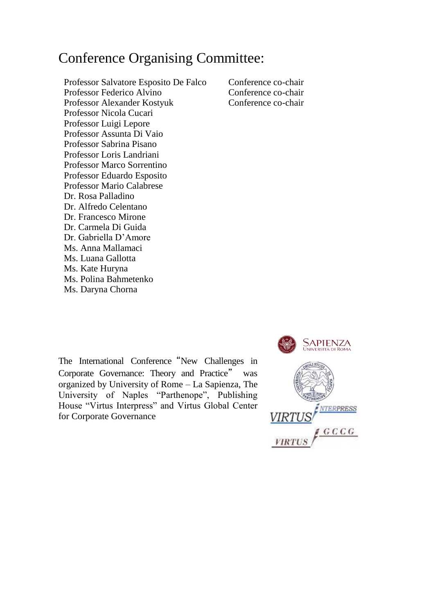## Conference Organising Committee:

Professor Salvatore Esposito De Falco Conference co-chair Professor Federico Alvino Conference co-chair Professor Alexander Kostyuk Conference co-chair Professor Nicola Cucari Professor Luigi Lepore Professor Assunta Di Vaio Professor Sabrina Pisano Professor Loris Landriani Professor Marco Sorrentino Professor Eduardo Esposito Professor Mario Calabrese Dr. Rosa Palladino Dr. Alfredo Celentano Dr. Francesco Mirone Dr. Carmela Di Guida Dr. Gabriella D'Amore Ms. Anna Mallamaci Ms. Luana Gallotta Ms. Kate Huryna Ms. Polina Bahmetenko Ms. Daryna Chorna

The International Conference "New Challenges in Corporate Governance: Theory and Practice" was organized by University of Rome – La Sapienza, The University of Naples "Parthenope", Publishing House "Virtus Interpress" and Virtus Global Center for Corporate Governance